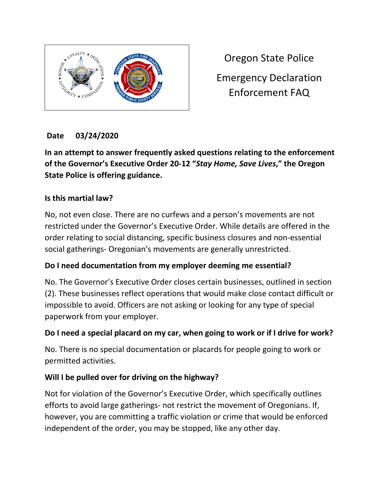

Oregon State Police Emergency Declaration Enforcement FAQ

# **Date 03/24/2020**

**In an attempt to answer frequently asked questions relating to the enforcement of the Governor's Executive Order 20-12 "***Stay Home, Save Lives***," the Oregon State Police is offering guidance.**

#### **Is this martial law?**

No, not even close. There are no curfews and a person's movements are not restricted under the Governor's Executive Order. While details are offered in the order relating to social distancing, specific business closures and non-essential social gatherings- Oregonian's movements are generally unrestricted.

### **Do I need documentation from my employer deeming me essential?**

No. The Governor's Executive Order closes certain businesses, outlined in section (2). These businesses reflect operations that would make close contact difficult or impossible to avoid. Officers are not asking or looking for any type of special paperwork from your employer.

### **Do I need a special placard on my car, when going to work or if I drive for work?**

No. There is no special documentation or placards for people going to work or permitted activities.

### **Will I be pulled over for driving on the highway?**

Not for violation of the Governor's Executive Order, which specifically outlines efforts to avoid large gatherings- not restrict the movement of Oregonians. If, however, you are committing a traffic violation or crime that would be enforced independent of the order, you may be stopped, like any other day.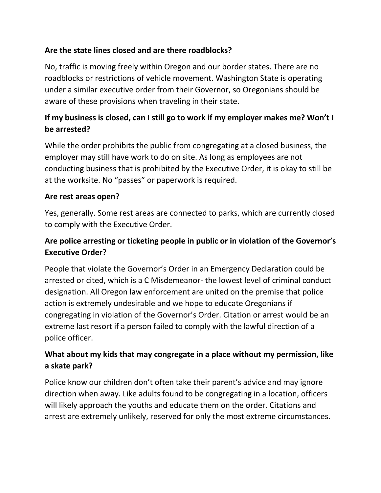## **Are the state lines closed and are there roadblocks?**

No, traffic is moving freely within Oregon and our border states. There are no roadblocks or restrictions of vehicle movement. Washington State is operating under a similar executive order from their Governor, so Oregonians should be aware of these provisions when traveling in their state.

# **If my business is closed, can I still go to work if my employer makes me? Won't I be arrested?**

While the order prohibits the public from congregating at a closed business, the employer may still have work to do on site. As long as employees are not conducting business that is prohibited by the Executive Order, it is okay to still be at the worksite. No "passes" or paperwork is required.

#### **Are rest areas open?**

Yes, generally. Some rest areas are connected to parks, which are currently closed to comply with the Executive Order.

# **Are police arresting or ticketing people in public or in violation of the Governor's Executive Order?**

People that violate the Governor's Order in an Emergency Declaration could be arrested or cited, which is a C Misdemeanor- the lowest level of criminal conduct designation. All Oregon law enforcement are united on the premise that police action is extremely undesirable and we hope to educate Oregonians if congregating in violation of the Governor's Order. Citation or arrest would be an extreme last resort if a person failed to comply with the lawful direction of a police officer.

# **What about my kids that may congregate in a place without my permission, like a skate park?**

Police know our children don't often take their parent's advice and may ignore direction when away. Like adults found to be congregating in a location, officers will likely approach the youths and educate them on the order. Citations and arrest are extremely unlikely, reserved for only the most extreme circumstances.